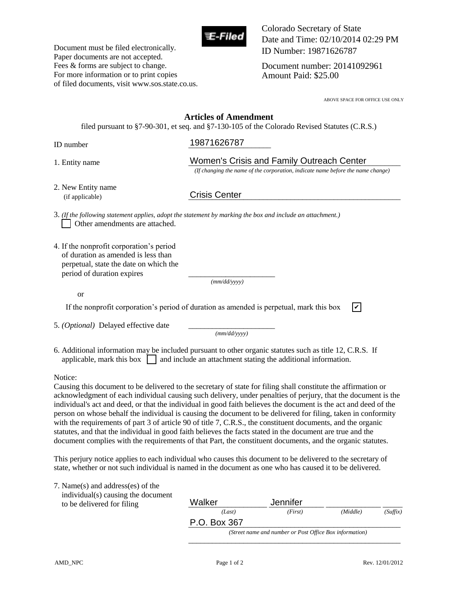

Document must be filed electronically. Paper documents are not accepted. Fees & forms are subject to change. For more information or to print copies Colorado Secretary of State Date and Time: 02/10/2014 02:29 PM ID Number: 19871626787

Document number: 20141092961 Amount Paid: \$25.00

ABOVE SPACE FOR OFFICE USE ONLY

## of filed documents, visit www.sos.state.co.us. **Articles of Amendment** filed pursuant to §7-90-301, et seq. and §7-130-105 of the Colorado Revised Statutes (C.R.S.) ID number **19871626787** 1. Entity name **Lacker Comment Comment Crisis and Family Outreach Center**  *(If changing the name of the corporation, indicate name before the name change)*  2. New Entity name (if applicable) 3. *(If the following statement applies, adopt the statement by marking the box and include an attachment.)* Other amendments are attached. 4. If the nonprofit corporation's period of duration as amended is less than perpetual, state the date on which the period of duration expires  *(mm/dd/yyyy)*  or If the nonprofit corporation's period of duration as amended is perpetual, mark this box 5. *(Optional)* Delayed effective date *(mm/dd/yyyy)* 6. Additional information may be included pursuant to other organic statutes such as title 12, C.R.S. If applicable, mark this box  $\Box$  and include an attachment stating the additional information. Notice: Causing this document to be delivered to the secretary of state for filing shall constitute the affirmation or acknowledgment of each individual causing such delivery, under penalties of perjury, that the document is the individual's act and deed, or that the individual in good faith believes the document is the act and deed of the person on whose behalf the individual is causing the document to be delivered for filing, taken in conformity with the requirements of part 3 of article 90 of title 7, C.R.S., the constituent documents, and the organic statutes, and that the individual in good faith believes the facts stated in the document are true and the document complies with the requirements of that Part, the constituent documents, and the organic statutes. duration as amended is perpetual, mark this box<br>
(mm/dd/yyyy)<br>
pursuant to other organic statutes such as title 12, C.R<br>
de an attachment stating the additional information.<br>
e secretary of state for filing shall constitu Crisis Center

This perjury notice applies to each individual who causes this document to be delivered to the secretary of state, whether or not such individual is named in the document as one who has caused it to be delivered.

| 7. Name(s) and address(es) of the<br>individual(s) causing the document |                                                         |          |          |          |
|-------------------------------------------------------------------------|---------------------------------------------------------|----------|----------|----------|
| to be delivered for filing                                              | Walker                                                  | Jennifer |          |          |
|                                                                         | (Last)                                                  | (First)  | (Middle) | (Suffix) |
|                                                                         | P.O. Box 367                                            |          |          |          |
|                                                                         | (Street name and number or Post Office Box information) |          |          |          |
|                                                                         |                                                         |          |          |          |